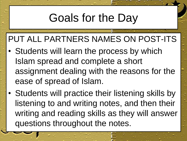# Goals for the Day

#### PUT ALL PARTNERS NAMES ON POST-ITS

- Students will learn the process by which Islam spread and complete a short assignment dealing with the reasons for the ease of spread of Islam.
- Students will practice their listening skills by listening to and writing notes, and then their writing and reading skills as they will answer questions throughout the notes.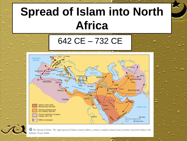# **Spread of Islam into North Africa**

642 CE – 732 CE



the Spread of Islam. The rapid spread of Islam created within a century a unified cultural and economic zone from India to the Atlantic Ocean within.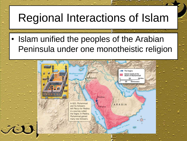# Regional Interactions of Islam

Islam unified the peoples of the Arabian Peninsula under one monotheistic religion

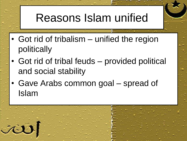# Reasons Islam unified

- Got rid of tribalism unified the region politically
- Got rid of tribal feuds provided political and social stability
- Gave Arabs common goal spread of Islam

JÙ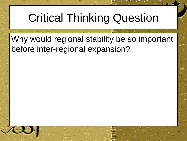### Critical Thinking Question

Why would regional stability be so important before inter-regional expansion?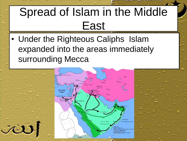# Spread of Islam in the Middle East

• Under the Righteous Caliphs Islam expanded into the areas immediately surrounding Mecca

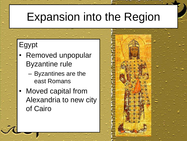# Expansion into the Region

#### Egypt

- Removed unpopular Byzantine rule
	- Byzantines are the east Romans
- Moved capital from Alexandria to new city of Cairo

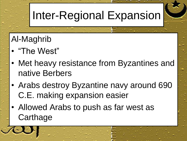# Inter-Regional Expansion

#### Al-Maghrib

- "The West"
- Met heavy resistance from Byzantines and native Berbers
- Arabs destroy Byzantine navy around 690 C.E. making expansion easier
- Allowed Arabs to push as far west as **Carthage**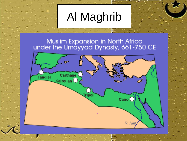# Al Maghrib

Muslim Expansion in North Africa<br>under the Umayyad Dynasty, 661-750 CE

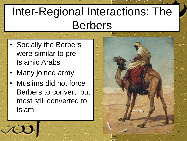# Inter-Regional Interactions: The Berbers

- Socially the Berbers were similar to pre-Islamic Arabs
- Many joined army

rie

Muslims did not force Berbers to convert, but most still converted to Islam

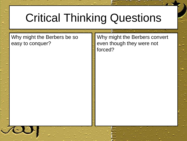# Critical Thinking Questions

Why might the Berbers be so easy to conquer?

Why might the Berbers convert even though they were not forced?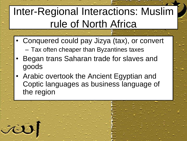#### Inter-Regional Interactions: Muslim rule of North Africa

- Conquered could pay Jizya (tax), or convert – Tax often cheaper than Byzantines taxes
- Began trans Saharan trade for slaves and goods
- Arabic overtook the Ancient Egyptian and Coptic languages as business language of the region

ai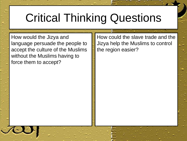### Critical Thinking Questions

How would the Jizya and language persuade the people to accept the culture of the Muslims without the Muslims having to force them to accept?

How could the slave trade and the Jizya help the Muslims to control the region easier?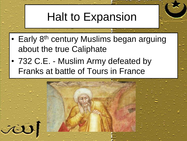# Halt to Expansion

- Early 8<sup>th</sup> century Muslims began arguing about the true Caliphate
- 732 C.E. Muslim Army defeated by Franks at battle of Tours in France

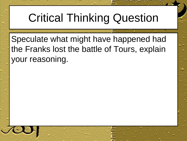# Critical Thinking Question

Speculate what might have happened had the Franks lost the battle of Tours, explain your reasoning.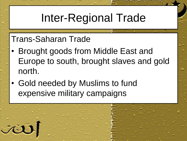# Inter-Regional Trade

#### Trans-Saharan Trade

 $\dot{\mathcal{N}}$ 

- Brought goods from Middle East and Europe to south, brought slaves and gold north.
- Gold needed by Muslims to fund expensive military campaigns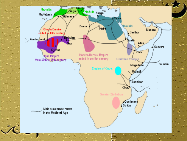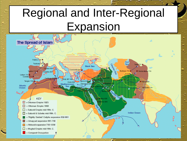# Regional and Inter-Regional Expansion